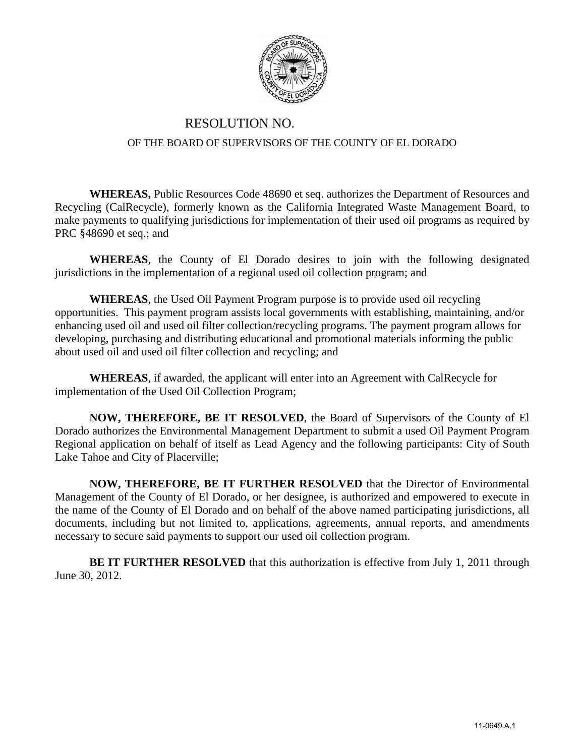

## RESOLUTION NO. OF THE BOARD OF SUPERVISORS OF THE COUNTY OF EL DORADO

**WHEREAS,** Public Resources Code 48690 et seq. authorizes the Department of Resources and Recycling (CalRecycle), formerly known as the California Integrated Waste Management Board, to make payments to qualifying jurisdictions for implementation of their used oil programs as required by PRC §48690 et seq.; and

**WHEREAS**, the County of El Dorado desires to join with the following designated jurisdictions in the implementation of a regional used oil collection program; and

**WHEREAS**, the Used Oil Payment Program purpose is to provide used oil recycling opportunities. This payment program assists local governments with establishing, maintaining, and/or enhancing used oil and used oil filter collection/recycling programs. The payment program allows for developing, purchasing and distributing educational and promotional materials informing the public about used oil and used oil filter collection and recycling; and

**WHEREAS**, if awarded, the applicant will enter into an Agreement with CalRecycle for implementation of the Used Oil Collection Program;

**NOW, THEREFORE, BE IT RESOLVED**, the Board of Supervisors of the County of El Dorado authorizes the Environmental Management Department to submit a used Oil Payment Program Regional application on behalf of itself as Lead Agency and the following participants: City of South Lake Tahoe and City of Placerville;

**NOW, THEREFORE, BE IT FURTHER RESOLVED** that the Director of Environmental Management of the County of El Dorado, or her designee, is authorized and empowered to execute in the name of the County of El Dorado and on behalf of the above named participating jurisdictions, all documents, including but not limited to, applications, agreements, annual reports, and amendments necessary to secure said payments to support our used oil collection program.

**BE IT FURTHER RESOLVED** that this authorization is effective from July 1, 2011 through June 30, 2012.